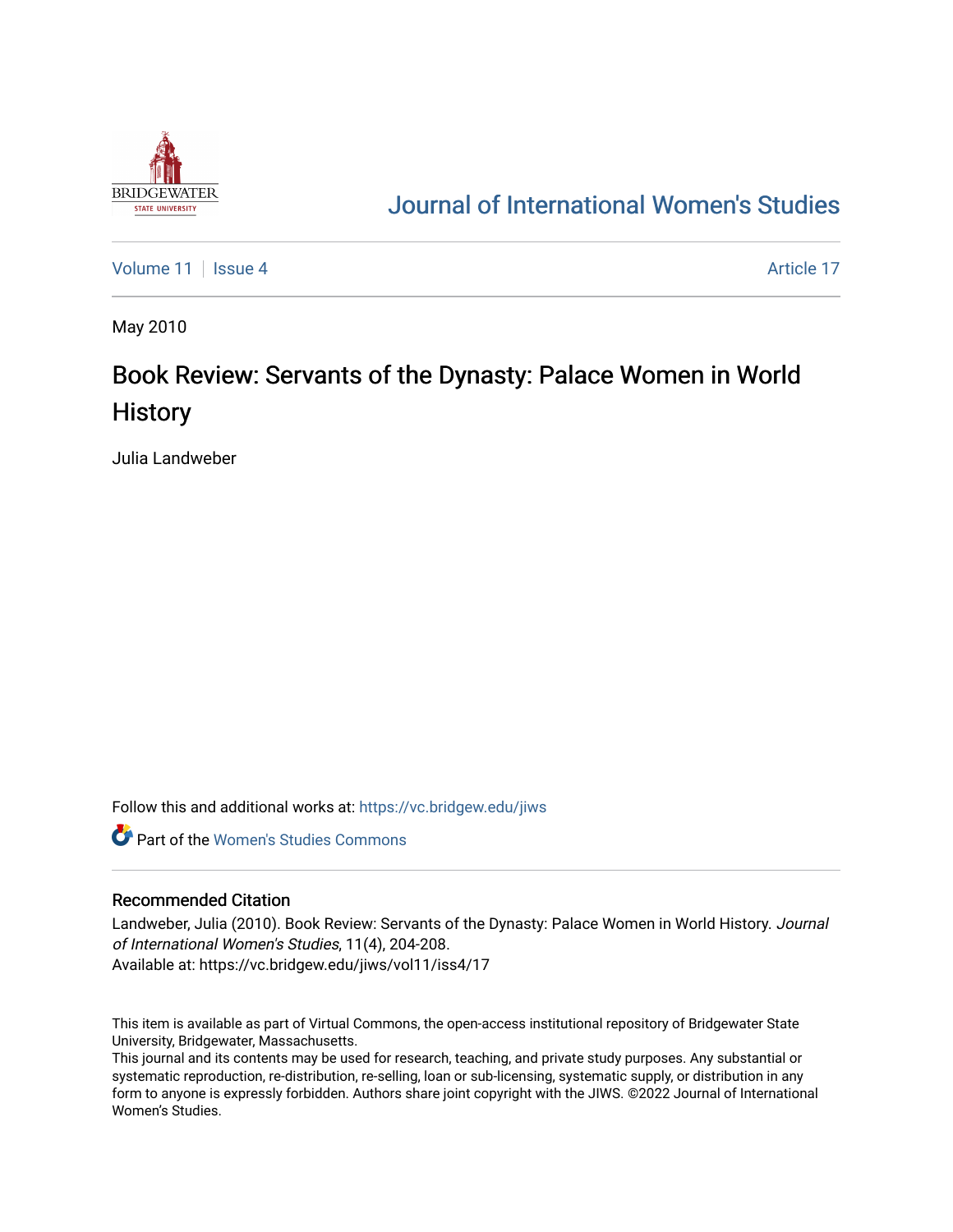

## [Journal of International Women's Studies](https://vc.bridgew.edu/jiws)

[Volume 11](https://vc.bridgew.edu/jiws/vol11) | [Issue 4](https://vc.bridgew.edu/jiws/vol11/iss4) Article 17

May 2010

## Book Review: Servants of the Dynasty: Palace Women in World **History**

Julia Landweber

Follow this and additional works at: [https://vc.bridgew.edu/jiws](https://vc.bridgew.edu/jiws?utm_source=vc.bridgew.edu%2Fjiws%2Fvol11%2Fiss4%2F17&utm_medium=PDF&utm_campaign=PDFCoverPages)

**C** Part of the Women's Studies Commons

## Recommended Citation

Landweber, Julia (2010). Book Review: Servants of the Dynasty: Palace Women in World History. Journal of International Women's Studies, 11(4), 204-208. Available at: https://vc.bridgew.edu/jiws/vol11/iss4/17

This item is available as part of Virtual Commons, the open-access institutional repository of Bridgewater State University, Bridgewater, Massachusetts.

This journal and its contents may be used for research, teaching, and private study purposes. Any substantial or systematic reproduction, re-distribution, re-selling, loan or sub-licensing, systematic supply, or distribution in any form to anyone is expressly forbidden. Authors share joint copyright with the JIWS. ©2022 Journal of International Women's Studies.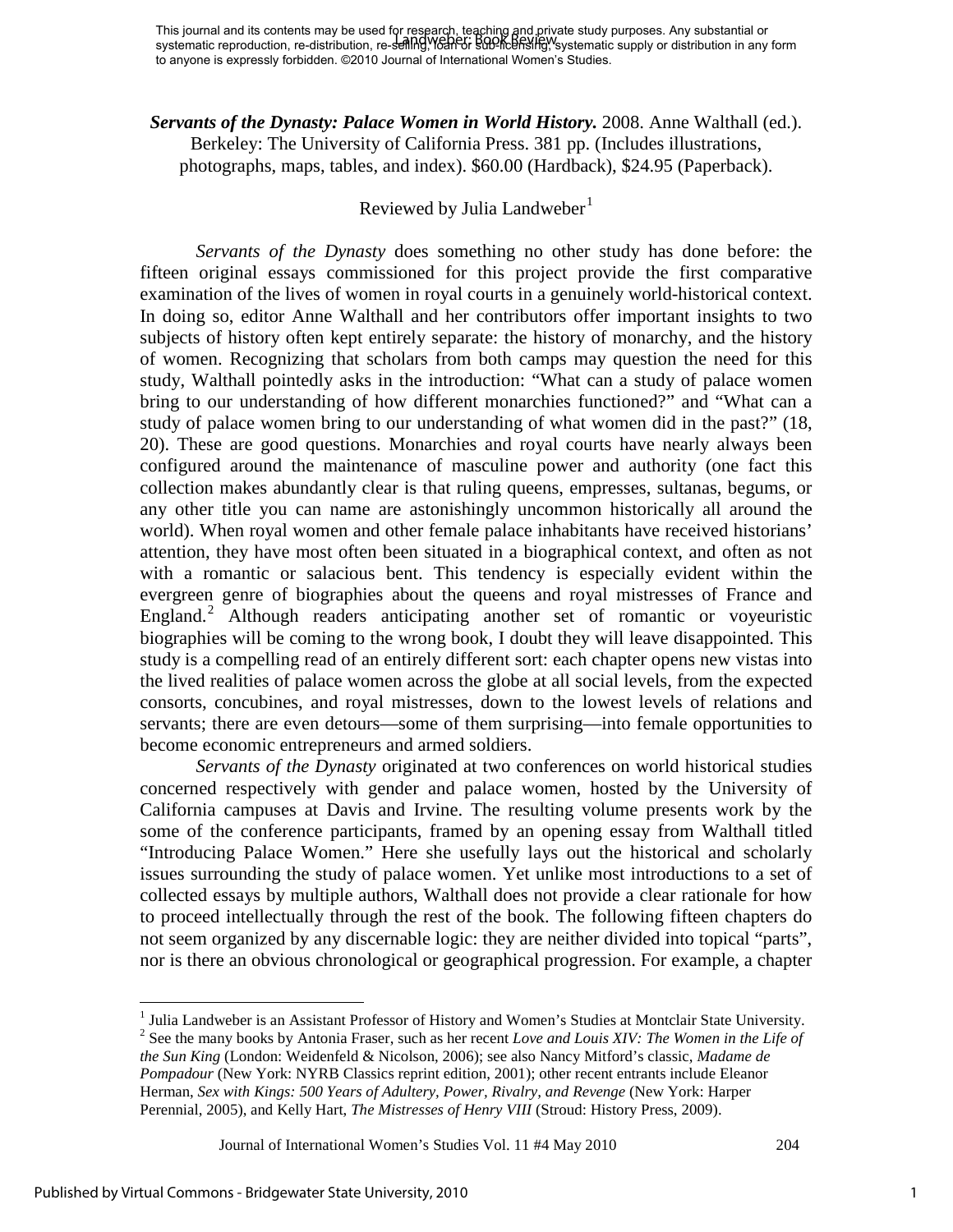*Servants of the Dynasty: Palace Women in World History.* 2008. Anne Walthall (ed.). Berkeley: The University of California Press. 381 pp. (Includes illustrations, photographs, maps, tables, and index). \$60.00 (Hardback), \$24.95 (Paperback).

## Reviewed by Julia Landweber<sup>[1](#page-1-0)</sup>

*Servants of the Dynasty* does something no other study has done before: the fifteen original essays commissioned for this project provide the first comparative examination of the lives of women in royal courts in a genuinely world-historical context. In doing so, editor Anne Walthall and her contributors offer important insights to two subjects of history often kept entirely separate: the history of monarchy, and the history of women. Recognizing that scholars from both camps may question the need for this study, Walthall pointedly asks in the introduction: "What can a study of palace women bring to our understanding of how different monarchies functioned?" and "What can a study of palace women bring to our understanding of what women did in the past?" (18, 20). These are good questions. Monarchies and royal courts have nearly always been configured around the maintenance of masculine power and authority (one fact this collection makes abundantly clear is that ruling queens, empresses, sultanas, begums, or any other title you can name are astonishingly uncommon historically all around the world). When royal women and other female palace inhabitants have received historians' attention, they have most often been situated in a biographical context, and often as not with a romantic or salacious bent. This tendency is especially evident within the evergreen genre of biographies about the queens and royal mistresses of France and England.<sup>[2](#page-1-1)</sup> Although readers anticipating another set of romantic or voyeuristic biographies will be coming to the wrong book, I doubt they will leave disappointed. This study is a compelling read of an entirely different sort: each chapter opens new vistas into the lived realities of palace women across the globe at all social levels, from the expected consorts, concubines, and royal mistresses, down to the lowest levels of relations and servants; there are even detours—some of them surprising—into female opportunities to become economic entrepreneurs and armed soldiers.

*Servants of the Dynasty* originated at two conferences on world historical studies concerned respectively with gender and palace women, hosted by the University of California campuses at Davis and Irvine. The resulting volume presents work by the some of the conference participants, framed by an opening essay from Walthall titled "Introducing Palace Women." Here she usefully lays out the historical and scholarly issues surrounding the study of palace women. Yet unlike most introductions to a set of collected essays by multiple authors, Walthall does not provide a clear rationale for how to proceed intellectually through the rest of the book. The following fifteen chapters do not seem organized by any discernable logic: they are neither divided into topical "parts", nor is there an obvious chronological or geographical progression. For example, a chapter

Journal of International Women's Studies Vol. 11 #4 May 2010 204

 $\overline{a}$ 

<sup>&</sup>lt;sup>1</sup> Julia Landweber is an Assistant Professor of History and Women's Studies at Montclair State University.

<span id="page-1-1"></span><span id="page-1-0"></span><sup>2</sup> See the many books by Antonia Fraser, such as her recent *Love and Louis XIV: The Women in the Life of the Sun King* (London: Weidenfeld & Nicolson, 2006); see also Nancy Mitford's classic, *Madame de Pompadour* (New York: NYRB Classics reprint edition, 2001); other recent entrants include Eleanor Herman, *Sex with Kings: 500 Years of Adultery, Power, Rivalry, and Revenge* (New York: Harper Perennial, 2005), and Kelly Hart, *The Mistresses of Henry VIII* (Stroud: History Press, 2009).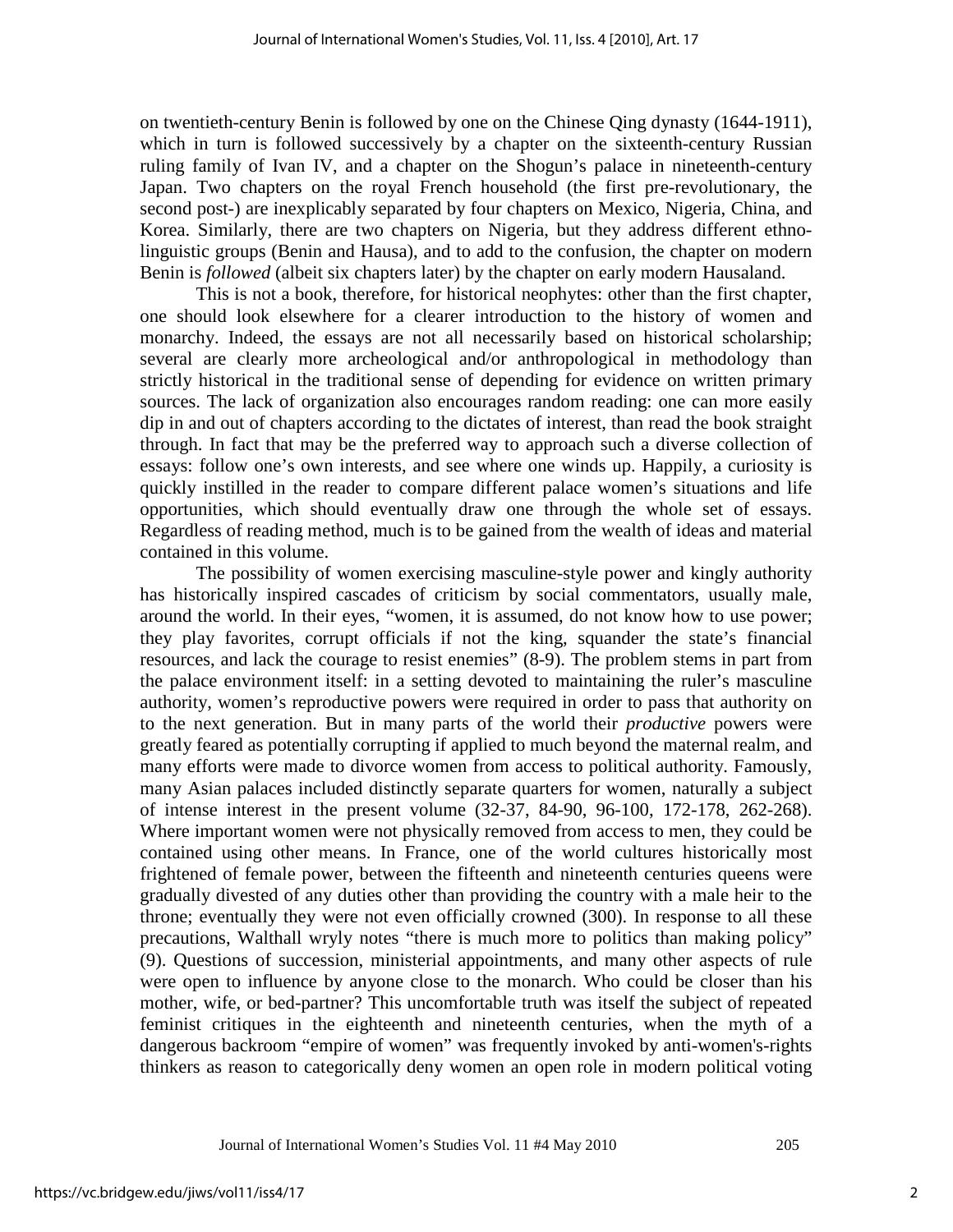on twentieth-century Benin is followed by one on the Chinese Qing dynasty (1644-1911), which in turn is followed successively by a chapter on the sixteenth-century Russian ruling family of Ivan IV, and a chapter on the Shogun's palace in nineteenth-century Japan. Two chapters on the royal French household (the first pre-revolutionary, the second post-) are inexplicably separated by four chapters on Mexico, Nigeria, China, and Korea. Similarly, there are two chapters on Nigeria, but they address different ethnolinguistic groups (Benin and Hausa), and to add to the confusion, the chapter on modern Benin is *followed* (albeit six chapters later) by the chapter on early modern Hausaland.

This is not a book, therefore, for historical neophytes: other than the first chapter, one should look elsewhere for a clearer introduction to the history of women and monarchy. Indeed, the essays are not all necessarily based on historical scholarship; several are clearly more archeological and/or anthropological in methodology than strictly historical in the traditional sense of depending for evidence on written primary sources. The lack of organization also encourages random reading: one can more easily dip in and out of chapters according to the dictates of interest, than read the book straight through. In fact that may be the preferred way to approach such a diverse collection of essays: follow one's own interests, and see where one winds up. Happily, a curiosity is quickly instilled in the reader to compare different palace women's situations and life opportunities, which should eventually draw one through the whole set of essays. Regardless of reading method, much is to be gained from the wealth of ideas and material contained in this volume.

The possibility of women exercising masculine-style power and kingly authority has historically inspired cascades of criticism by social commentators, usually male, around the world. In their eyes, "women, it is assumed, do not know how to use power; they play favorites, corrupt officials if not the king, squander the state's financial resources, and lack the courage to resist enemies" (8-9). The problem stems in part from the palace environment itself: in a setting devoted to maintaining the ruler's masculine authority, women's reproductive powers were required in order to pass that authority on to the next generation. But in many parts of the world their *productive* powers were greatly feared as potentially corrupting if applied to much beyond the maternal realm, and many efforts were made to divorce women from access to political authority. Famously, many Asian palaces included distinctly separate quarters for women, naturally a subject of intense interest in the present volume (32-37, 84-90, 96-100, 172-178, 262-268). Where important women were not physically removed from access to men, they could be contained using other means. In France, one of the world cultures historically most frightened of female power, between the fifteenth and nineteenth centuries queens were gradually divested of any duties other than providing the country with a male heir to the throne; eventually they were not even officially crowned (300). In response to all these precautions, Walthall wryly notes "there is much more to politics than making policy" (9). Questions of succession, ministerial appointments, and many other aspects of rule were open to influence by anyone close to the monarch. Who could be closer than his mother, wife, or bed-partner? This uncomfortable truth was itself the subject of repeated feminist critiques in the eighteenth and nineteenth centuries, when the myth of a dangerous backroom "empire of women" was frequently invoked by anti-women's-rights thinkers as reason to categorically deny women an open role in modern political voting

Journal of International Women's Studies Vol. 11 #4 May 2010 205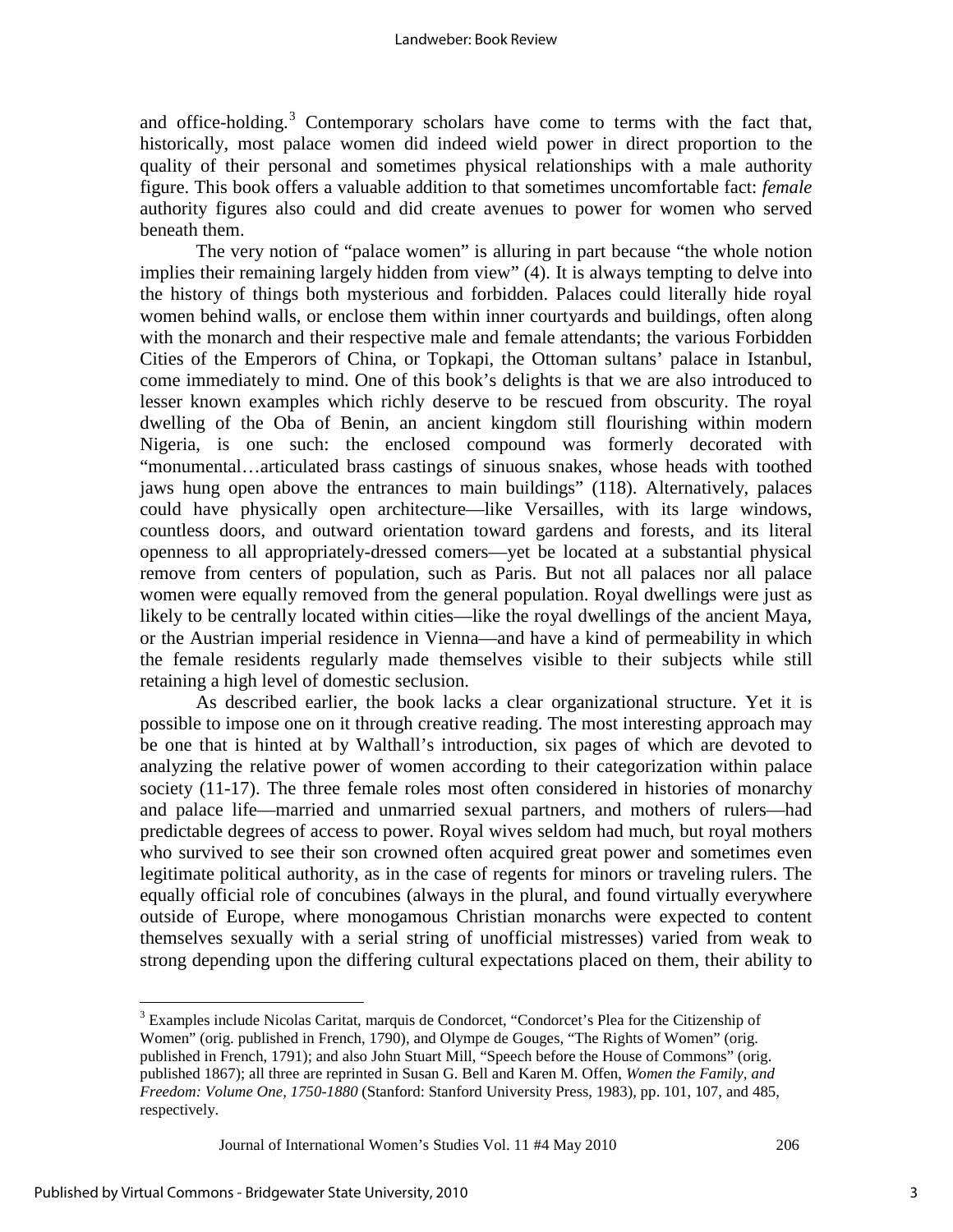and office-holding.<sup>[3](#page-3-0)</sup> Contemporary scholars have come to terms with the fact that, historically, most palace women did indeed wield power in direct proportion to the quality of their personal and sometimes physical relationships with a male authority figure. This book offers a valuable addition to that sometimes uncomfortable fact: *female* authority figures also could and did create avenues to power for women who served beneath them.

The very notion of "palace women" is alluring in part because "the whole notion implies their remaining largely hidden from view" (4). It is always tempting to delve into the history of things both mysterious and forbidden. Palaces could literally hide royal women behind walls, or enclose them within inner courtyards and buildings, often along with the monarch and their respective male and female attendants; the various Forbidden Cities of the Emperors of China, or Topkapi, the Ottoman sultans' palace in Istanbul, come immediately to mind. One of this book's delights is that we are also introduced to lesser known examples which richly deserve to be rescued from obscurity. The royal dwelling of the Oba of Benin, an ancient kingdom still flourishing within modern Nigeria, is one such: the enclosed compound was formerly decorated with "monumental…articulated brass castings of sinuous snakes, whose heads with toothed jaws hung open above the entrances to main buildings" (118). Alternatively, palaces could have physically open architecture—like Versailles, with its large windows, countless doors, and outward orientation toward gardens and forests, and its literal openness to all appropriately-dressed comers—yet be located at a substantial physical remove from centers of population, such as Paris. But not all palaces nor all palace women were equally removed from the general population. Royal dwellings were just as likely to be centrally located within cities—like the royal dwellings of the ancient Maya, or the Austrian imperial residence in Vienna—and have a kind of permeability in which the female residents regularly made themselves visible to their subjects while still retaining a high level of domestic seclusion.

As described earlier, the book lacks a clear organizational structure. Yet it is possible to impose one on it through creative reading. The most interesting approach may be one that is hinted at by Walthall's introduction, six pages of which are devoted to analyzing the relative power of women according to their categorization within palace society (11-17). The three female roles most often considered in histories of monarchy and palace life—married and unmarried sexual partners, and mothers of rulers—had predictable degrees of access to power. Royal wives seldom had much, but royal mothers who survived to see their son crowned often acquired great power and sometimes even legitimate political authority, as in the case of regents for minors or traveling rulers. The equally official role of concubines (always in the plural, and found virtually everywhere outside of Europe, where monogamous Christian monarchs were expected to content themselves sexually with a serial string of unofficial mistresses) varied from weak to strong depending upon the differing cultural expectations placed on them, their ability to

Journal of International Women's Studies Vol. 11 #4 May 2010 206

 $\overline{a}$ 

<span id="page-3-0"></span><sup>&</sup>lt;sup>3</sup> Examples include Nicolas Caritat, marquis de Condorcet, "Condorcet's Plea for the Citizenship of Women" (orig. published in French, 1790), and Olympe de Gouges, "The Rights of Women" (orig. published in French, 1791); and also John Stuart Mill, "Speech before the House of Commons" (orig. published 1867); all three are reprinted in Susan G. Bell and Karen M. Offen, *Women the Family, and Freedom: Volume One, 1750-1880* (Stanford: Stanford University Press, 1983), pp. 101, 107, and 485, respectively.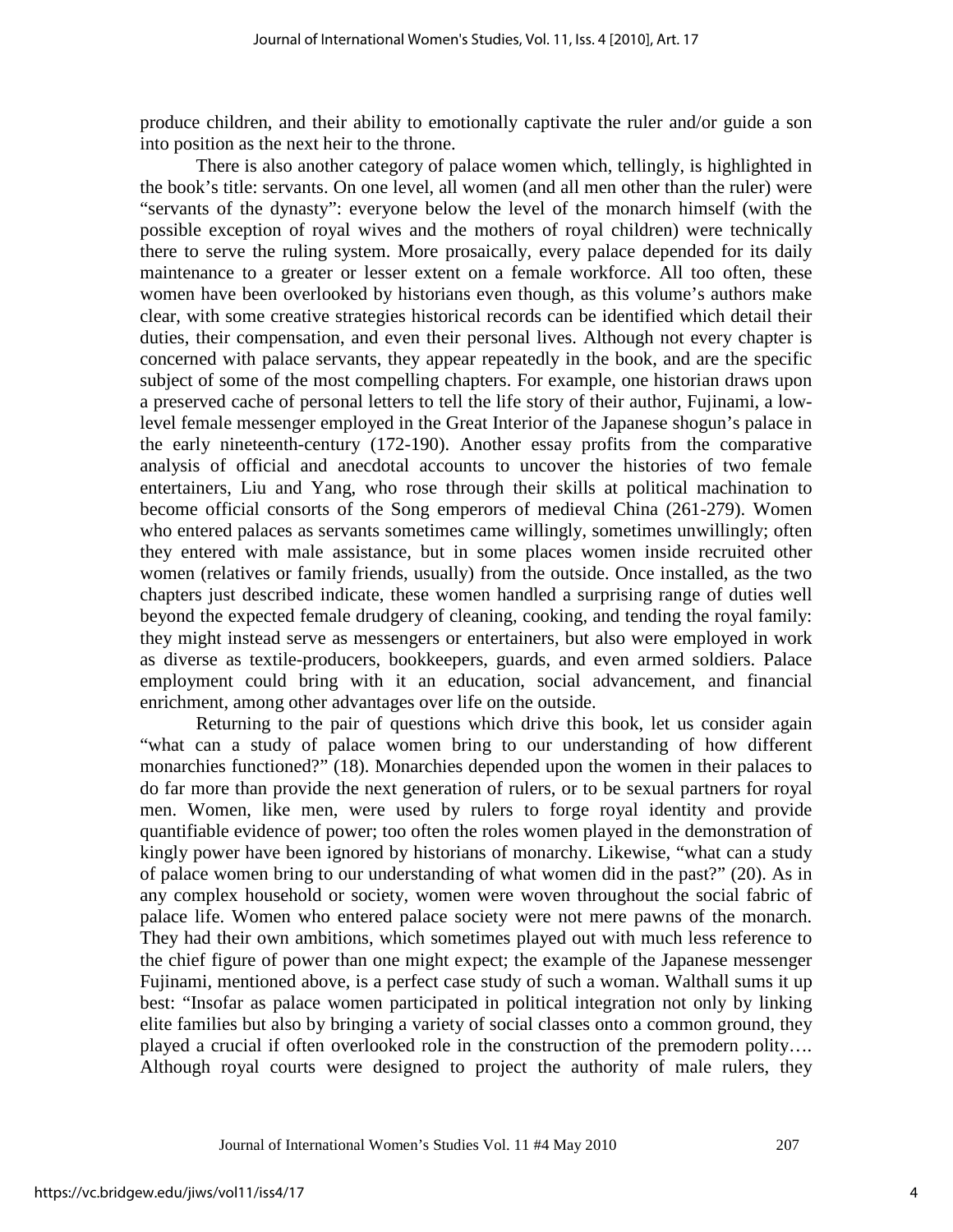produce children, and their ability to emotionally captivate the ruler and/or guide a son into position as the next heir to the throne.

There is also another category of palace women which, tellingly, is highlighted in the book's title: servants. On one level, all women (and all men other than the ruler) were "servants of the dynasty": everyone below the level of the monarch himself (with the possible exception of royal wives and the mothers of royal children) were technically there to serve the ruling system. More prosaically, every palace depended for its daily maintenance to a greater or lesser extent on a female workforce. All too often, these women have been overlooked by historians even though, as this volume's authors make clear, with some creative strategies historical records can be identified which detail their duties, their compensation, and even their personal lives. Although not every chapter is concerned with palace servants, they appear repeatedly in the book, and are the specific subject of some of the most compelling chapters. For example, one historian draws upon a preserved cache of personal letters to tell the life story of their author, Fujinami, a lowlevel female messenger employed in the Great Interior of the Japanese shogun's palace in the early nineteenth-century (172-190). Another essay profits from the comparative analysis of official and anecdotal accounts to uncover the histories of two female entertainers, Liu and Yang, who rose through their skills at political machination to become official consorts of the Song emperors of medieval China (261-279). Women who entered palaces as servants sometimes came willingly, sometimes unwillingly; often they entered with male assistance, but in some places women inside recruited other women (relatives or family friends, usually) from the outside. Once installed, as the two chapters just described indicate, these women handled a surprising range of duties well beyond the expected female drudgery of cleaning, cooking, and tending the royal family: they might instead serve as messengers or entertainers, but also were employed in work as diverse as textile-producers, bookkeepers, guards, and even armed soldiers. Palace employment could bring with it an education, social advancement, and financial enrichment, among other advantages over life on the outside.

Returning to the pair of questions which drive this book, let us consider again "what can a study of palace women bring to our understanding of how different monarchies functioned?" (18). Monarchies depended upon the women in their palaces to do far more than provide the next generation of rulers, or to be sexual partners for royal men. Women, like men, were used by rulers to forge royal identity and provide quantifiable evidence of power; too often the roles women played in the demonstration of kingly power have been ignored by historians of monarchy. Likewise, "what can a study of palace women bring to our understanding of what women did in the past?" (20). As in any complex household or society, women were woven throughout the social fabric of palace life. Women who entered palace society were not mere pawns of the monarch. They had their own ambitions, which sometimes played out with much less reference to the chief figure of power than one might expect; the example of the Japanese messenger Fujinami, mentioned above, is a perfect case study of such a woman. Walthall sums it up best: "Insofar as palace women participated in political integration not only by linking elite families but also by bringing a variety of social classes onto a common ground, they played a crucial if often overlooked role in the construction of the premodern polity…. Although royal courts were designed to project the authority of male rulers, they